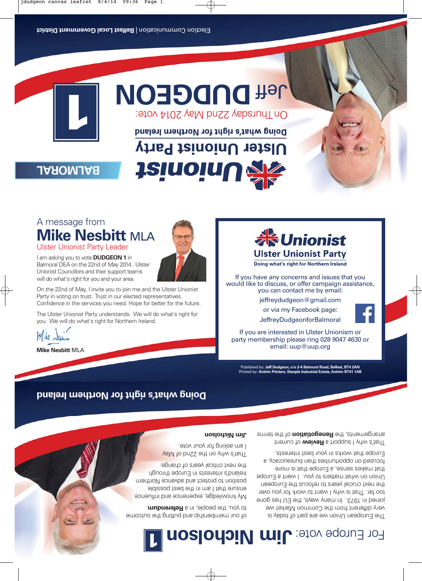# **DUP THE CONDITY OF SUIT AND A VOLUT IN A VOLUT IN A VOLUT IN A VOLUT IN A VOLUT IN A VOLUT IN A VOLUT IN A VOLUT IN A VOLUT IN A VOLUT IN A VOLUT IN A VOLUT IN A VOLUT IN A VOLUT IN A VOLUT IN A VOLUT IN A VOLUT IN A VOLU**

On Thursday 22nd May 2014 vote:

**Ulster Unionist Party** 

## **BALMORAL**

A message from

I am asking you to vote **DUDGEON 1** in Balmoral DEA on the 22nd of May 2014. Ulster Unionist Councillors and their support teams will do what's right for you and your area.

Ulster Unionist Party Leader

**Mike Nesbitt** MLA

# **JainoinU**



Doing what's right for Northern Ireland





would like to discuss, or offer campaign assistance, you can contact me by email: jeffreydudgeon@gmail.com or via my Facebook page: JeffreyDudgeonforBalmoral If you are interested in Ulster Unionism or party membership please ring 028 9047 4630 or email: uup@uup.org

S













On the 22nd of May, I invite you to join me and the Ulster Unionist Party in voting on trust. Trust in our elected representatives. Confidence in the services you need. Hope for better for the future. The Ulster Unionist Party understands. We will do what's right for

you. We will do what's right for Northern Ireland. Mike Nahm

**Mike Nesbitt** MLA

### **Doing what's right for Northern Ireland**

Published by: **Jeff Dudgeon, c/o 2-4 Belmont Road, Belfast, BT4 2AN** Printed by: **Antrim Printers, Steeple Industrial Estate, Antrim BT41 1AB**

That's why I support a **Review** of current arrangements, the **Renegotiation** of the terms

The European Union we are part of today is very different from the Common Market we joined in 1973. In many ways, the EU has gone too far. That is why I want to work for you over the next crucial years to refocus the European Union on what matters to you. I want a Europe that makes sense, a Europe that is more focused on opportunities than bureaucracy, a Europe that works in your best interests.

#### **Jim Nicholson**

That's why on the 22nd of May I am asking for your vote.

My knowledge, experience and influence ensure that I am in the best possible position to protect and advance Northern Ireland's interests in Europe through the next critical years of change.

For Europe vote: **Jim Nicholson 1**

of our membership and putting the outcome to you, the people, in a **Referendum**.